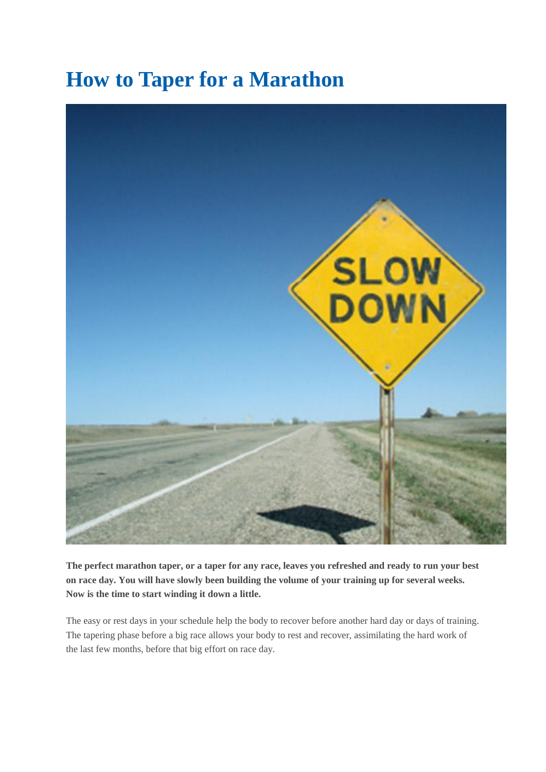# **How to Taper for a Marathon**



**The perfect marathon taper, or a taper for any race, leaves you refreshed and ready to run your best on race day. You will have slowly been building the volume of your training up for several weeks. Now is the time to start winding it down a little.** 

The easy or rest days in your schedule help the body to recover before another hard day or days of training. The tapering phase before a big race allows your body to rest and recover, assimilating the hard work of the last few months, before that big effort on race day.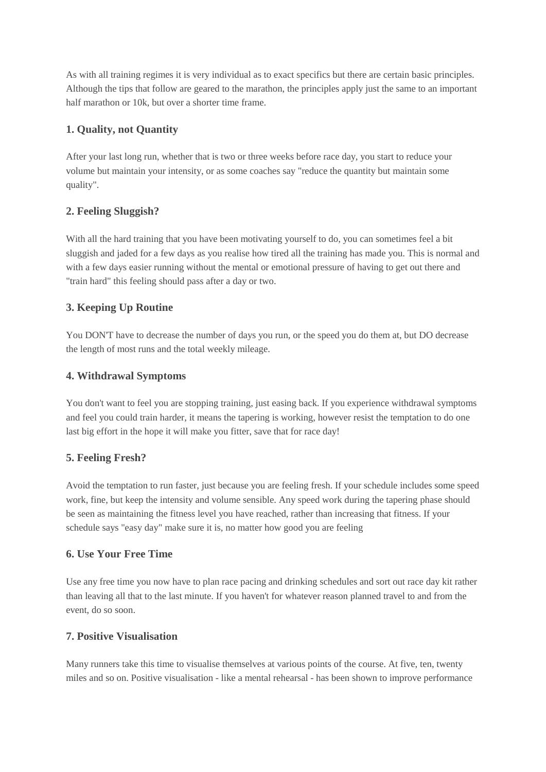As with all training regimes it is very individual as to exact specifics but there are certain basic principles. Although the tips that follow are geared to the marathon, the principles apply just the same to an important half marathon or 10k, but over a shorter time frame.

## **1. Quality, not Quantity**

After your last long run, whether that is two or three weeks before race day, you start to reduce your volume but maintain your intensity, or as some coaches say "reduce the quantity but maintain some quality".

## **2. Feeling Sluggish?**

With all the hard training that you have been motivating yourself to do, you can sometimes feel a bit sluggish and jaded for a few days as you realise how tired all the training has made you. This is normal and with a few days easier running without the mental or emotional pressure of having to get out there and "train hard" this feeling should pass after a day or two.

## **3. Keeping Up Routine**

You DON'T have to decrease the number of days you run, or the speed you do them at, but DO decrease the length of most runs and the total weekly mileage.

#### **4. Withdrawal Symptoms**

You don't want to feel you are stopping training, just easing back. If you experience withdrawal symptoms and feel you could train harder, it means the tapering is working, however resist the temptation to do one last big effort in the hope it will make you fitter, save that for race day!

#### **5. Feeling Fresh?**

Avoid the temptation to run faster, just because you are feeling fresh. If your schedule includes some speed work, fine, but keep the intensity and volume sensible. Any speed work during the tapering phase should be seen as maintaining the fitness level you have reached, rather than increasing that fitness. If your schedule says "easy day" make sure it is, no matter how good you are feeling

#### **6. Use Your Free Time**

Use any free time you now have to plan race pacing and drinking schedules and sort out race day kit rather than leaving all that to the last minute. If you haven't for whatever reason planned travel to and from the event, do so soon.

#### **7. Positive Visualisation**

Many runners take this time to visualise themselves at various points of the course. At five, ten, twenty miles and so on. Positive visualisation - like a mental rehearsal - has been shown to improve performance